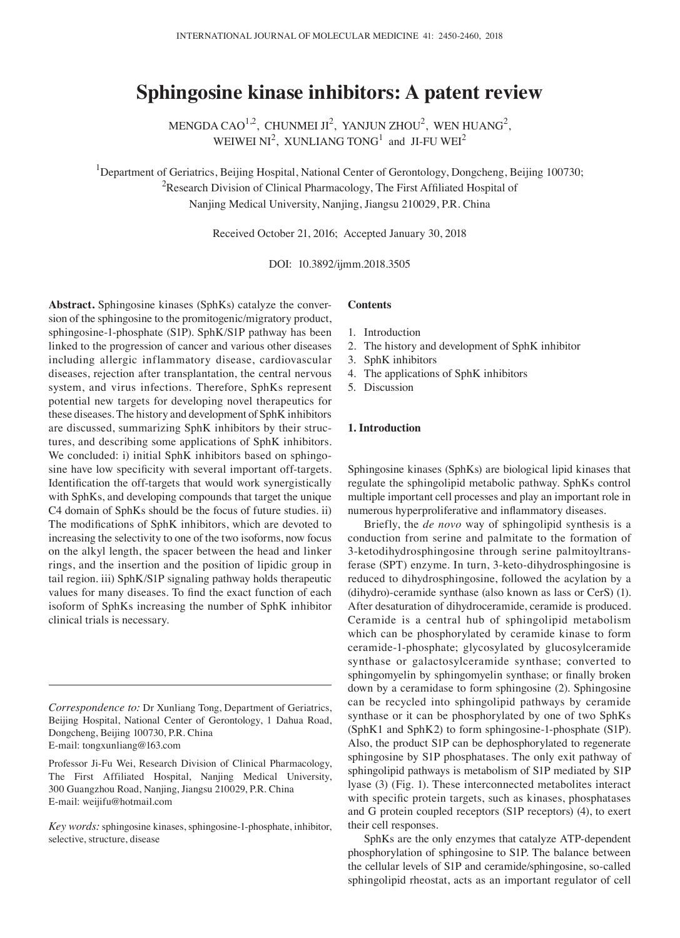# **Sphingosine kinase inhibitors: A patent review**

MENGDA CAO<sup>1,2</sup>, CHUNMEI JI<sup>2</sup>, YANJUN ZHOU<sup>2</sup>, WEN HUANG<sup>2</sup>, WEIWEI NI<sup>2</sup>, XUNLIANG TONG<sup>1</sup> and JI-FU WEI<sup>2</sup>

<sup>1</sup>Department of Geriatrics, Beijing Hospital, National Center of Gerontology, Dongcheng, Beijing 100730; <sup>2</sup>Research Division of Clinical Pharmacology, The First Affiliated Hospital of Nanjing Medical University, Nanjing, Jiangsu 210029, P.R. China

Received October 21, 2016; Accepted January 30, 2018

DOI: 10.3892/ijmm.2018.3505

**Abstract.** Sphingosine kinases (SphKs) catalyze the conversion of the sphingosine to the promitogenic/migratory product, sphingosine-1-phosphate (S1P). SphK/S1P pathway has been linked to the progression of cancer and various other diseases including allergic inflammatory disease, cardiovascular diseases, rejection after transplantation, the central nervous system, and virus infections. Therefore, SphKs represent potential new targets for developing novel therapeutics for these diseases. The history and development of SphK inhibitors are discussed, summarizing SphK inhibitors by their structures, and describing some applications of SphK inhibitors. We concluded: i) initial SphK inhibitors based on sphingosine have low specificity with several important off-targets. Identification the off-targets that would work synergistically with SphKs, and developing compounds that target the unique C4 domain of SphKs should be the focus of future studies. ii) The modifications of SphK inhibitors, which are devoted to increasing the selectivity to one of the two isoforms, now focus on the alkyl length, the spacer between the head and linker rings, and the insertion and the position of lipidic group in tail region. iii) SphK/S1P signaling pathway holds therapeutic values for many diseases. To find the exact function of each isoform of SphKs increasing the number of SphK inhibitor clinical trials is necessary.

## **Contents**

- 1. Introduction
- 2. The history and development of SphK inhibitor
- 3. SphK inhibitors
- 4. The applications of SphK inhibitors
- 5. Discussion

## **1. Introduction**

Sphingosine kinases (SphKs) are biological lipid kinases that regulate the sphingolipid metabolic pathway. SphKs control multiple important cell processes and play an important role in numerous hyperproliferative and inflammatory diseases.

Briefly, the *de novo* way of sphingolipid synthesis is a conduction from serine and palmitate to the formation of 3-ketodihydrosphingosine through serine palmitoyltransferase (SPT) enzyme. In turn, 3-keto-dihydrosphingosine is reduced to dihydrosphingosine, followed the acylation by a (dihydro)-ceramide synthase (also known as lass or CerS) (1). After desaturation of dihydroceramide, ceramide is produced. Ceramide is a central hub of sphingolipid metabolism which can be phosphorylated by ceramide kinase to form ceramide-1-phosphate; glycosylated by glucosylceramide synthase or galactosylceramide synthase; converted to sphingomyelin by sphingomyelin synthase; or finally broken down by a ceramidase to form sphingosine (2). Sphingosine can be recycled into sphingolipid pathways by ceramide synthase or it can be phosphorylated by one of two SphKs (SphK1 and SphK2) to form sphingosine-1-phosphate (S1P). Also, the product S1P can be dephosphorylated to regenerate sphingosine by S1P phosphatases. The only exit pathway of sphingolipid pathways is metabolism of S1P mediated by S1P lyase (3) (Fig. 1). These interconnected metabolites interact with specific protein targets, such as kinases, phosphatases and G protein coupled receptors (S1P receptors) (4), to exert their cell responses.

SphKs are the only enzymes that catalyze ATP-dependent phosphorylation of sphingosine to S1P. The balance between the cellular levels of S1P and ceramide/sphingosine, so-called sphingolipid rheostat, acts as an important regulator of cell

*Correspondence to:* Dr Xunliang Tong, Department of Geriatrics, Beijing Hospital, National Center of Gerontology, 1 Dahua Road, Dongcheng, Beijing 100730, P.R. China E-mail: tongxunliang@163.com

Professor Ji-Fu Wei, Research Division of Clinical Pharmacology, The First Affiliated Hospital, Nanjing Medical University, 300 Guangzhou Road, Nanjing, Jiangsu 210029, P.R. China E-mail: weijifu@hotmail.com

*Key words:* sphingosine kinases, sphingosine-1-phosphate, inhibitor, selective, structure, disease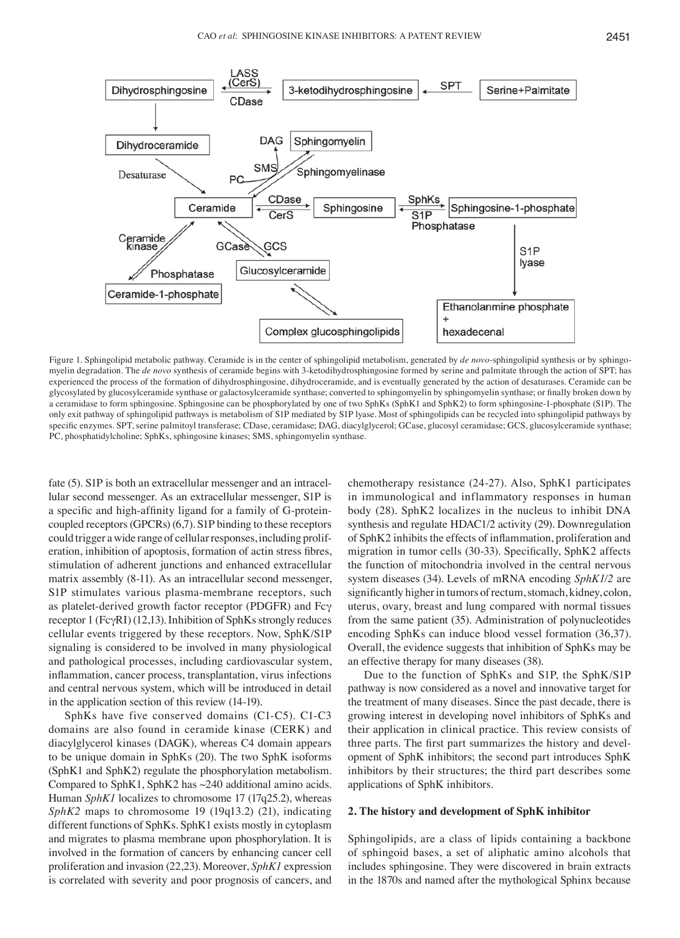

Figure 1. Sphingolipid metabolic pathway. Ceramide is in the center of sphingolipid metabolism, generated by *de novo*-sphingolipid synthesis or by sphingomyelin degradation. The *de novo* synthesis of ceramide begins with 3-ketodihydrosphingosine formed by serine and palmitate through the action of SPT; has experienced the process of the formation of dihydrosphingosine, dihydroceramide, and is eventually generated by the action of desaturases. Ceramide can be glycosylated by glucosylceramide synthase or galactosylceramide synthase; converted to sphingomyelin by sphingomyelin synthase; or finally broken down by a ceramidase to form sphingosine. Sphingosine can be phosphorylated by one of two SphKs (SphK1 and SphK2) to form sphingosine-1-phosphate (S1P). The only exit pathway of sphingolipid pathways is metabolism of S1P mediated by S1P lyase. Most of sphingolipids can be recycled into sphingolipid pathways by specific enzymes. SPT, serine palmitoyl transferase; CDase, ceramidase; DAG, diacylglycerol; GCase, glucosyl ceramidase; GCS, glucosylceramide synthase; PC, phosphatidylcholine; SphKs, sphingosine kinases; SMS, sphingomyelin synthase.

fate (5). S1P is both an extracellular messenger and an intracellular second messenger. As an extracellular messenger, S1P is a specific and high-affinity ligand for a family of G-proteincoupled receptors(GPCRs) (6,7). S1P binding to these receptors could trigger a wide range of cellular responses, including proliferation, inhibition of apoptosis, formation of actin stress fibres, stimulation of adherent junctions and enhanced extracellular matrix assembly (8-11). As an intracellular second messenger, S1P stimulates various plasma-membrane receptors, such as platelet-derived growth factor receptor (PDGFR) and Fcγ receptor 1 (FcγRI) (12,13). Inhibition of SphKs strongly reduces cellular events triggered by these receptors. Now, SphK/S1P signaling is considered to be involved in many physiological and pathological processes, including cardiovascular system, inflammation, cancer process, transplantation, virus infections and central nervous system, which will be introduced in detail in the application section of this review (14-19).

SphKs have five conserved domains (C1-C5). C1-C3 domains are also found in ceramide kinase (CERK) and diacylglycerol kinases (DAGK), whereas C4 domain appears to be unique domain in SphKs (20). The two SphK isoforms (SphK1 and SphK2) regulate the phosphorylation metabolism. Compared to SphK1, SphK2 has ~240 additional amino acids. Human *SphK1* localizes to chromosome 17 (17q25.2), whereas *SphK2* maps to chromosome 19 (19q13.2) (21), indicating different functions of SphKs. SphK1 exists mostly in cytoplasm and migrates to plasma membrane upon phosphorylation. It is involved in the formation of cancers by enhancing cancer cell proliferation and invasion (22,23). Moreover, *SphK1* expression is correlated with severity and poor prognosis of cancers, and chemotherapy resistance (24-27). Also, SphK1 participates in immunological and inflammatory responses in human body (28). SphK2 localizes in the nucleus to inhibit DNA synthesis and regulate HDAC1/2 activity (29). Downregulation of SphK2 inhibits the effects of inflammation, proliferation and migration in tumor cells (30-33). Specifically, SphK2 affects the function of mitochondria involved in the central nervous system diseases (34). Levels of mRNA encoding *SphK1/2* are significantly higher in tumors of rectum, stomach, kidney, colon, uterus, ovary, breast and lung compared with normal tissues from the same patient (35). Administration of polynucleotides encoding SphKs can induce blood vessel formation (36,37). Overall, the evidence suggests that inhibition of SphKs may be an effective therapy for many diseases (38).

Due to the function of SphKs and S1P, the SphK/S1P pathway is now considered as a novel and innovative target for the treatment of many diseases. Since the past decade, there is growing interest in developing novel inhibitors of SphKs and their application in clinical practice. This review consists of three parts. The first part summarizes the history and development of SphK inhibitors; the second part introduces SphK inhibitors by their structures; the third part describes some applications of SphK inhibitors.

#### **2. The history and development of SphK inhibitor**

Sphingolipids, are a class of lipids containing a backbone of sphingoid bases, a set of aliphatic amino alcohols that includes sphingosine. They were discovered in brain extracts in the 1870s and named after the mythological Sphinx because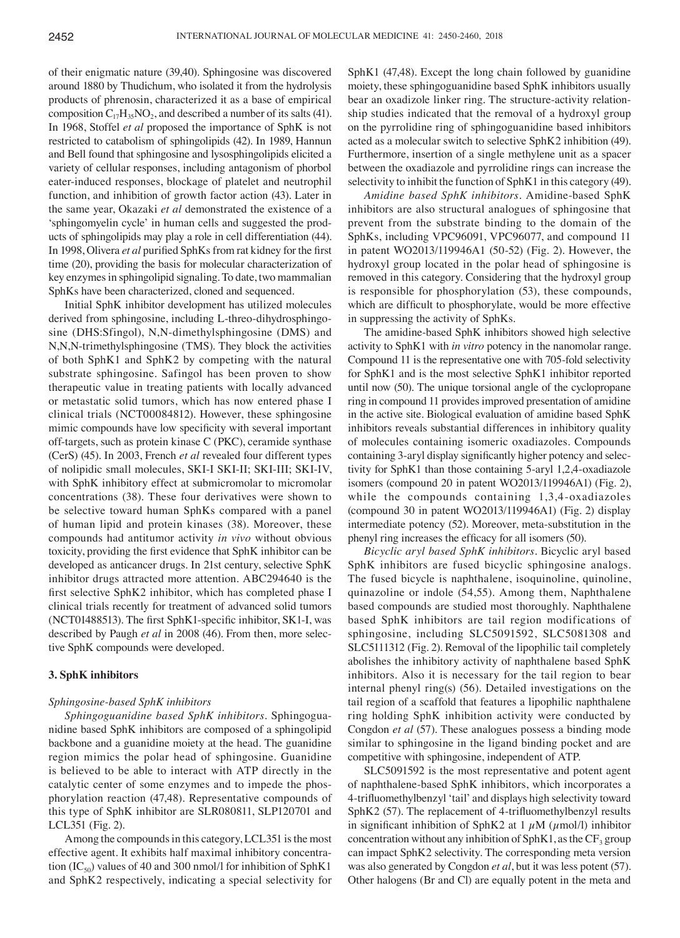of their enigmatic nature (39,40). Sphingosine was discovered around 1880 by Thudichum, who isolated it from the hydrolysis products of phrenosin, characterized it as a base of empirical composition  $C_{17}H_{35}NO_2$ , and described a number of its salts (41). In 1968, Stoffel *et al* proposed the importance of SphK is not restricted to catabolism of sphingolipids (42). In 1989, Hannun and Bell found that sphingosine and lysosphingolipids elicited a variety of cellular responses, including antagonism of phorbol eater-induced responses, blockage of platelet and neutrophil function, and inhibition of growth factor action (43). Later in the same year, Okazaki *et al* demonstrated the existence of a 'sphingomyelin cycle' in human cells and suggested the products of sphingolipids may play a role in cell differentiation (44). In 1998, Olivera *et al* purified SphKs from rat kidney for the first time (20), providing the basis for molecular characterization of key enzymes in sphingolipid signaling. To date, two mammalian SphKs have been characterized, cloned and sequenced.

Initial SphK inhibitor development has utilized molecules derived from sphingosine, including L-threo-dihydrosphingosine (DHS:Sfingol), N,N-dimethylsphingosine (DMS) and N,N,N-trimethylsphingosine (TMS). They block the activities of both SphK1 and SphK2 by competing with the natural substrate sphingosine. Safingol has been proven to show therapeutic value in treating patients with locally advanced or metastatic solid tumors, which has now entered phase I clinical trials (NCT00084812). However, these sphingosine mimic compounds have low specificity with several important off-targets, such as protein kinase C (PKC), ceramide synthase (CerS) (45). In 2003, French *et al* revealed four different types of nolipidic small molecules, SKI-I SKI-II; SKI-III; SKI-IV, with SphK inhibitory effect at submicromolar to micromolar concentrations (38). These four derivatives were shown to be selective toward human SphKs compared with a panel of human lipid and protein kinases (38). Moreover, these compounds had antitumor activity *in vivo* without obvious toxicity, providing the first evidence that SphK inhibitor can be developed as anticancer drugs. In 21st century, selective SphK inhibitor drugs attracted more attention. ABC294640 is the first selective SphK2 inhibitor, which has completed phase I clinical trials recently for treatment of advanced solid tumors (NCT01488513). The first SphK1-specific inhibitor, SK1-I, was described by Paugh *et al* in 2008 (46). From then, more selective SphK compounds were developed.

#### **3. SphK inhibitors**

#### *Sphingosine-based SphK inhibitors*

*Sphingoguanidine based SphK inhibitors.* Sphingoguanidine based SphK inhibitors are composed of a sphingolipid backbone and a guanidine moiety at the head. The guanidine region mimics the polar head of sphingosine. Guanidine is believed to be able to interact with ATP directly in the catalytic center of some enzymes and to impede the phosphorylation reaction (47,48). Representative compounds of this type of SphK inhibitor are SLR080811, SLP120701 and LCL351 (Fig. 2).

Among the compounds in this category, LCL351 is the most effective agent. It exhibits half maximal inhibitory concentration (IC<sub>50</sub>) values of 40 and 300 nmol/l for inhibition of SphK1 and SphK2 respectively, indicating a special selectivity for SphK1 (47,48). Except the long chain followed by guanidine moiety, these sphingoguanidine based SphK inhibitors usually bear an oxadizole linker ring. The structure-activity relationship studies indicated that the removal of a hydroxyl group on the pyrrolidine ring of sphingoguanidine based inhibitors acted as a molecular switch to selective SphK2 inhibition (49). Furthermore, insertion of a single methylene unit as a spacer between the oxadiazole and pyrrolidine rings can increase the selectivity to inhibit the function of SphK1 in this category (49).

*Amidine based SphK inhibitors.* Amidine-based SphK inhibitors are also structural analogues of sphingosine that prevent from the substrate binding to the domain of the SphKs, including VPC96091, VPC96077, and compound 11 in patent WO2013/119946A1 (50-52) (Fig. 2). However, the hydroxyl group located in the polar head of sphingosine is removed in this category. Considering that the hydroxyl group is responsible for phosphorylation (53), these compounds, which are difficult to phosphorylate, would be more effective in suppressing the activity of SphKs.

The amidine-based SphK inhibitors showed high selective activity to SphK1 with *in vitro* potency in the nanomolar range. Compound 11 is the representative one with 705-fold selectivity for SphK1 and is the most selective SphK1 inhibitor reported until now (50). The unique torsional angle of the cyclopropane ring in compound 11 provides improved presentation of amidine in the active site. Biological evaluation of amidine based SphK inhibitors reveals substantial differences in inhibitory quality of molecules containing isomeric oxadiazoles. Compounds containing 3-aryl display significantly higher potency and selectivity for SphK1 than those containing 5-aryl 1,2,4-oxadiazole isomers (compound 20 in patent WO2013/119946A1) (Fig. 2), while the compounds containing 1,3,4-oxadiazoles (compound 30 in patent WO2013/119946A1) (Fig. 2) display intermediate potency (52). Moreover, meta-substitution in the phenyl ring increases the efficacy for all isomers (50).

*Bicyclic aryl based SphK inhibitors.* Bicyclic aryl based SphK inhibitors are fused bicyclic sphingosine analogs. The fused bicycle is naphthalene, isoquinoline, quinoline, quinazoline or indole (54,55). Among them, Naphthalene based compounds are studied most thoroughly. Naphthalene based SphK inhibitors are tail region modifications of sphingosine, including SLC5091592, SLC5081308 and SLC5111312 (Fig. 2). Removal of the lipophilic tail completely abolishes the inhibitory activity of naphthalene based SphK inhibitors. Also it is necessary for the tail region to bear internal phenyl ring(s) (56). Detailed investigations on the tail region of a scaffold that features a lipophilic naphthalene ring holding SphK inhibition activity were conducted by Congdon *et al* (57). These analogues possess a binding mode similar to sphingosine in the ligand binding pocket and are competitive with sphingosine, independent of ATP.

SLC5091592 is the most representative and potent agent of naphthalene-based SphK inhibitors, which incorporates a 4-trifluomethylbenzyl 'tail' and displays high selectivity toward SphK2 (57). The replacement of 4-trifluomethylbenzyl results in significant inhibition of SphK2 at 1  $\mu$ M ( $\mu$ mol/l) inhibitor concentration without any inhibition of SphK1, as the  $CF_3$  group can impact SphK2 selectivity. The corresponding meta version was also generated by Congdon *et al*, but it was less potent (57). Other halogens (Br and Cl) are equally potent in the meta and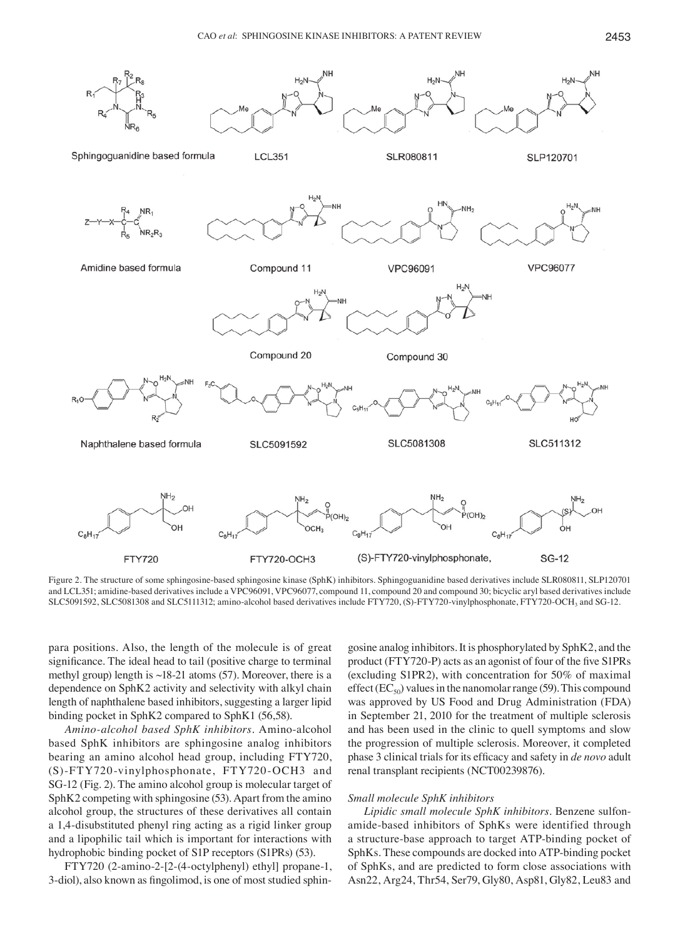

Figure 2. The structure of some sphingosine-based sphingosine kinase (SphK) inhibitors. Sphingoguanidine based derivatives include SLR080811, SLP120701 and LCL351; amidine-based derivatives include a VPC96091, VPC96077, compound 11, compound 20 and compound 30; bicyclic aryl based derivatives include SLC5091592, SLC5081308 and SLC5111312; amino-alcohol based derivatives include FTY720, (S)-FTY720-vinylphosphonate, FTY720-OCH3 and SG-12.

para positions. Also, the length of the molecule is of great significance. The ideal head to tail (positive charge to terminal methyl group) length is  $\sim$ 18-21 atoms (57). Moreover, there is a dependence on SphK2 activity and selectivity with alkyl chain length of naphthalene based inhibitors, suggesting a larger lipid binding pocket in SphK2 compared to SphK1 (56,58).

*Amino-alcohol based SphK inhibitors.* Amino-alcohol based SphK inhibitors are sphingosine analog inhibitors bearing an amino alcohol head group, including FTY720, (S)-FTY720-vinylphosphonate, FTY720-OCH3 and SG-12 (Fig. 2). The amino alcohol group is molecular target of SphK2 competing with sphingosine (53). Apart from the amino alcohol group, the structures of these derivatives all contain a 1,4-disubstituted phenyl ring acting as a rigid linker group and a lipophilic tail which is important for interactions with hydrophobic binding pocket of S1P receptors (S1PRs) (53).

FTY720 (2-amino-2-[2-(4-octylphenyl) ethyl] propane-1, 3-diol), also known as fingolimod, is one of most studied sphingosine analog inhibitors. It is phosphorylated by SphK2, and the product (FTY720-P) acts as an agonist of four of the five S1PRs (excluding S1PR2), with concentration for 50% of maximal effect ( $EC_{50}$ ) values in the nanomolar range (59). This compound was approved by US Food and Drug Administration (FDA) in September 21, 2010 for the treatment of multiple sclerosis and has been used in the clinic to quell symptoms and slow the progression of multiple sclerosis. Moreover, it completed phase 3 clinical trials for its efficacy and safety in *de novo* adult renal transplant recipients (NCT00239876).

## *Small molecule SphK inhibitors*

*Lipidic small molecule SphK inhibitors.* Benzene sulfonamide-based inhibitors of SphKs were identified through a structure-base approach to target ATP-binding pocket of SphKs. These compounds are docked into ATP-binding pocket of SphKs, and are predicted to form close associations with Asn22, Arg24, Thr54, Ser79, Gly80, Asp81, Gly82, Leu83 and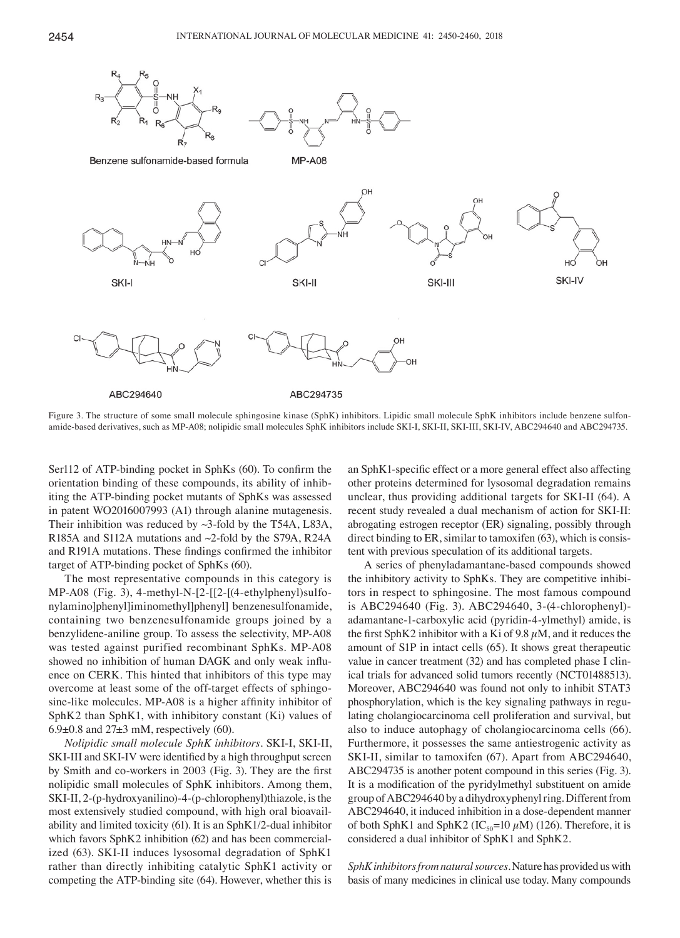

Figure 3. The structure of some small molecule sphingosine kinase (SphK) inhibitors. Lipidic small molecule SphK inhibitors include benzene sulfonamide-based derivatives, such as MP-A08; nolipidic small molecules SphK inhibitors include SKI-I, SKI-II, SKI-III, SKI-IV, ABC294640 and ABC294735.

Ser112 of ATP-binding pocket in SphKs (60). To confirm the orientation binding of these compounds, its ability of inhibiting the ATP-binding pocket mutants of SphKs was assessed in patent WO2016007993 (A1) through alanine mutagenesis. Their inhibition was reduced by ~3-fold by the T54A, L83A, R185A and S112A mutations and ~2-fold by the S79A, R24A and R191A mutations. These findings confirmed the inhibitor target of ATP-binding pocket of SphKs (60).

The most representative compounds in this category is MP-A08 (Fig. 3), 4-methyl-N-[2-[[2-[(4-ethylphenyl)sulfonylamino]phenyl]iminomethyl]phenyl] benzenesulfonamide, containing two benzenesulfonamide groups joined by a benzylidene-aniline group. To assess the selectivity, MP-A08 was tested against purified recombinant SphKs. MP-A08 showed no inhibition of human DAGK and only weak influence on CERK. This hinted that inhibitors of this type may overcome at least some of the off-target effects of sphingosine-like molecules. MP-A08 is a higher affinity inhibitor of SphK2 than SphK1, with inhibitory constant (Ki) values of  $6.9\pm0.8$  and  $27\pm3$  mM, respectively (60).

*Nolipidic small molecule SphK inhibitors.* SKI-I, SKI-II, SKI-III and SKI-IV were identified by a high throughput screen by Smith and co-workers in 2003 (Fig. 3). They are the first nolipidic small molecules of SphK inhibitors. Among them, SKI-II, 2-(p-hydroxyanilino)-4-(p-chlorophenyl)thiazole, is the most extensively studied compound, with high oral bioavailability and limited toxicity (61). It is an SphK1/2-dual inhibitor which favors SphK2 inhibition (62) and has been commercialized (63). SKI-II induces lysosomal degradation of SphK1 rather than directly inhibiting catalytic SphK1 activity or competing the ATP-binding site (64). However, whether this is an SphK1-specific effect or a more general effect also affecting other proteins determined for lysosomal degradation remains unclear, thus providing additional targets for SKI-II (64). A recent study revealed a dual mechanism of action for SKI-II: abrogating estrogen receptor (ER) signaling, possibly through direct binding to ER, similar to tamoxifen (63), which is consistent with previous speculation of its additional targets.

A series of phenyladamantane-based compounds showed the inhibitory activity to SphKs. They are competitive inhibitors in respect to sphingosine. The most famous compound is ABC294640 (Fig. 3). ABC294640, 3-(4-chlorophenyl) adamantane-1-carboxylic acid (pyridin-4-ylmethyl) amide, is the first SphK2 inhibitor with a Ki of 9.8  $\mu$ M, and it reduces the amount of S1P in intact cells (65). It shows great therapeutic value in cancer treatment (32) and has completed phase I clinical trials for advanced solid tumors recently (NCT01488513). Moreover, ABC294640 was found not only to inhibit STAT3 phosphorylation, which is the key signaling pathways in regulating cholangiocarcinoma cell proliferation and survival, but also to induce autophagy of cholangiocarcinoma cells (66). Furthermore, it possesses the same antiestrogenic activity as SKI-II, similar to tamoxifen (67). Apart from ABC294640, ABC294735 is another potent compound in this series (Fig. 3). It is a modification of the pyridylmethyl substituent on amide group of ABC294640 by a dihydroxyphenyl ring. Different from ABC294640, it induced inhibition in a dose-dependent manner of both SphK1 and SphK2 (IC<sub>50</sub>=10  $\mu$ M) (126). Therefore, it is considered a dual inhibitor of SphK1 and SphK2.

*SphK inhibitors from natural sources.* Nature has provided us with basis of many medicines in clinical use today. Many compounds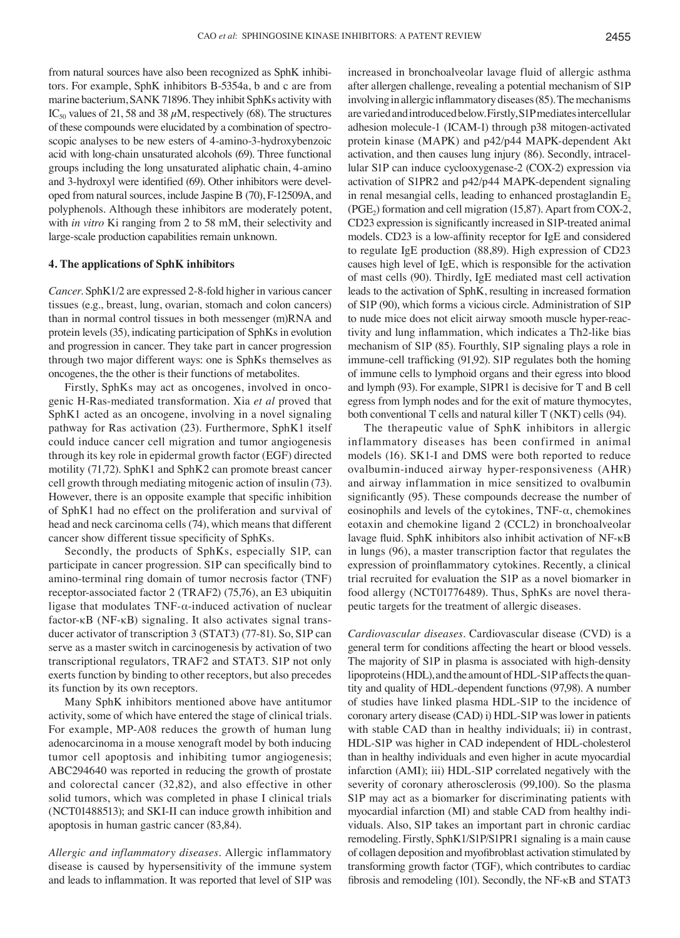from natural sources have also been recognized as SphK inhibitors. For example, SphK inhibitors B-5354a, b and c are from marine bacterium, SANK 71896. They inhibit SphKs activity with IC<sub>50</sub> values of 21, 58 and 38  $\mu$ M, respectively (68). The structures of these compounds were elucidated by a combination of spectroscopic analyses to be new esters of 4-amino-3-hydroxybenzoic acid with long-chain unsaturated alcohols (69). Three functional groups including the long unsaturated aliphatic chain, 4-amino and 3-hydroxyl were identified (69). Other inhibitors were developed from natural sources, include Jaspine B (70), F-12509A, and polyphenols. Although these inhibitors are moderately potent, with *in vitro* Ki ranging from 2 to 58 mM, their selectivity and large-scale production capabilities remain unknown.

## **4. The applications of SphK inhibitors**

*Cancer.* SphK1/2 are expressed 2-8-fold higher in various cancer tissues (e.g., breast, lung, ovarian, stomach and colon cancers) than in normal control tissues in both messenger (m)RNA and protein levels (35), indicating participation of SphKs in evolution and progression in cancer. They take part in cancer progression through two major different ways: one is SphKs themselves as oncogenes, the the other is their functions of metabolites.

Firstly, SphKs may act as oncogenes, involved in oncogenic H-Ras-mediated transformation. Xia *et al* proved that SphK1 acted as an oncogene, involving in a novel signaling pathway for Ras activation (23). Furthermore, SphK1 itself could induce cancer cell migration and tumor angiogenesis through its key role in epidermal growth factor (EGF) directed motility (71,72). SphK1 and SphK2 can promote breast cancer cell growth through mediating mitogenic action of insulin (73). However, there is an opposite example that specific inhibition of SphK1 had no effect on the proliferation and survival of head and neck carcinoma cells (74), which means that different cancer show different tissue specificity of SphKs.

Secondly, the products of SphKs, especially S1P, can participate in cancer progression. S1P can specifically bind to amino-terminal ring domain of tumor necrosis factor (TNF) receptor-associated factor 2 (TRAF2) (75,76), an E3 ubiquitin ligase that modulates  $TNF-\alpha$ -induced activation of nuclear factor-κB (NF-κB) signaling. It also activates signal transducer activator of transcription 3 (STAT3) (77-81). So, S1P can serve as a master switch in carcinogenesis by activation of two transcriptional regulators, TRAF2 and STAT3. S1P not only exerts function by binding to other receptors, but also precedes its function by its own receptors.

Many SphK inhibitors mentioned above have antitumor activity, some of which have entered the stage of clinical trials. For example, MP-A08 reduces the growth of human lung adenocarcinoma in a mouse xenograft model by both inducing tumor cell apoptosis and inhibiting tumor angiogenesis; ABC294640 was reported in reducing the growth of prostate and colorectal cancer (32,82), and also effective in other solid tumors, which was completed in phase I clinical trials (NCT01488513); and SKI-II can induce growth inhibition and apoptosis in human gastric cancer (83,84).

*Allergic and inflammatory diseases.* Allergic inflammatory disease is caused by hypersensitivity of the immune system and leads to inflammation. It was reported that level of S1P was increased in bronchoalveolar lavage fluid of allergic asthma after allergen challenge, revealing a potential mechanism of S1P involving in allergic inflammatory diseases(85). The mechanisms are varied and introduced below. Firstly, S1P mediates intercellular adhesion molecule-1 (ICAM-1) through p38 mitogen-activated protein kinase (MAPK) and p42/p44 MAPK-dependent Akt activation, and then causes lung injury (86). Secondly, intracellular S1P can induce cyclooxygenase-2 (COX-2) expression via activation of S1PR2 and p42/p44 MAPK-dependent signaling in renal mesangial cells, leading to enhanced prostaglandin  $E<sub>2</sub>$  $(PGE<sub>2</sub>)$  formation and cell migration (15,87). Apart from COX-2, CD23 expression is significantly increased in S1P-treated animal models. CD23 is a low-affinity receptor for IgE and considered to regulate IgE production (88,89). High expression of CD23 causes high level of IgE, which is responsible for the activation of mast cells (90). Thirdly, IgE mediated mast cell activation leads to the activation of SphK, resulting in increased formation of S1P (90), which forms a vicious circle. Administration of S1P to nude mice does not elicit airway smooth muscle hyper-reactivity and lung inflammation, which indicates a Th2-like bias mechanism of S1P (85). Fourthly, S1P signaling plays a role in immune-cell trafficking (91,92). S1P regulates both the homing of immune cells to lymphoid organs and their egress into blood and lymph (93). For example, S1PR1 is decisive for T and B cell egress from lymph nodes and for the exit of mature thymocytes, both conventional T cells and natural killer T (NKT) cells (94).

The therapeutic value of SphK inhibitors in allergic inflammatory diseases has been confirmed in animal models (16). SK1-I and DMS were both reported to reduce ovalbumin-induced airway hyper-responsiveness (AHR) and airway inflammation in mice sensitized to ovalbumin significantly (95). These compounds decrease the number of eosinophils and levels of the cytokines, TNF-α, chemokines eotaxin and chemokine ligand 2 (CCL2) in bronchoalveolar lavage fluid. SphK inhibitors also inhibit activation of NF-κB in lungs (96), a master transcription factor that regulates the expression of proinflammatory cytokines. Recently, a clinical trial recruited for evaluation the S1P as a novel biomarker in food allergy (NCT01776489). Thus, SphKs are novel therapeutic targets for the treatment of allergic diseases.

*Cardiovascular diseases.* Cardiovascular disease (CVD) is a general term for conditions affecting the heart or blood vessels. The majority of S1P in plasma is associated with high-density lipoproteins (HDL), and the amount of HDL-S1P affects the quantity and quality of HDL-dependent functions (97,98). A number of studies have linked plasma HDL-S1P to the incidence of coronary artery disease (CAD) i) HDL-S1P was lower in patients with stable CAD than in healthy individuals; ii) in contrast, HDL-S1P was higher in CAD independent of HDL-cholesterol than in healthy individuals and even higher in acute myocardial infarction (AMI); iii) HDL-S1P correlated negatively with the severity of coronary atherosclerosis (99,100). So the plasma S1P may act as a biomarker for discriminating patients with myocardial infarction (MI) and stable CAD from healthy individuals. Also, S1P takes an important part in chronic cardiac remodeling. Firstly, SphK1/S1P/S1PR1 signaling is a main cause of collagen deposition and myofibroblast activation stimulated by transforming growth factor (TGF), which contributes to cardiac fibrosis and remodeling (101). Secondly, the NF-κB and STAT3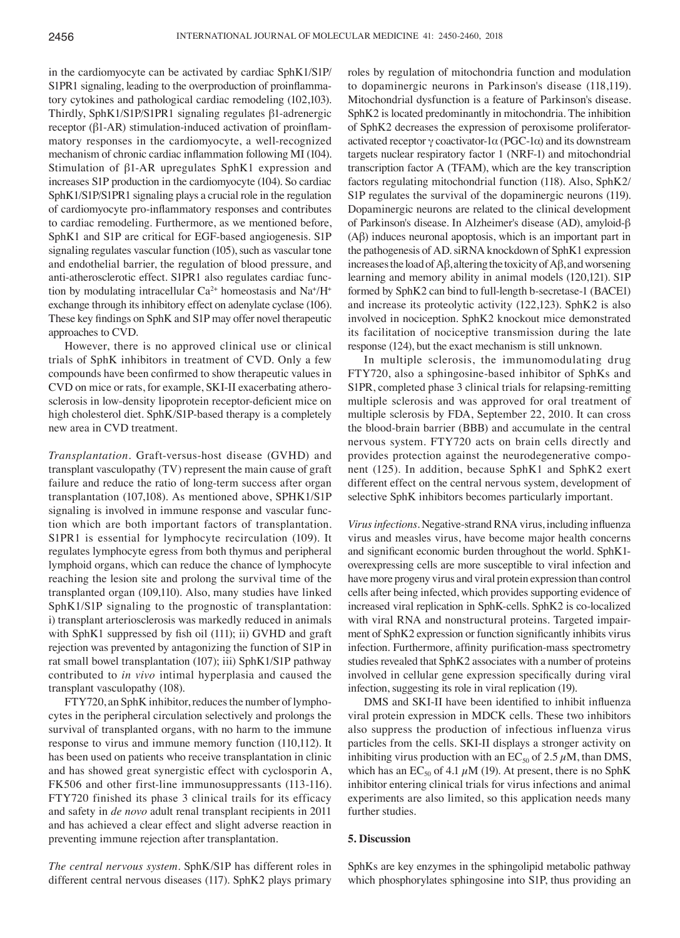in the cardiomyocyte can be activated by cardiac SphK1/S1P/ S1PR1 signaling, leading to the overproduction of proinflammatory cytokines and pathological cardiac remodeling (102,103). Thirdly, SphK1/S1P/S1PR1 signaling regulates β1-adrenergic receptor (β1-AR) stimulation-induced activation of proinflammatory responses in the cardiomyocyte, a well-recognized mechanism of chronic cardiac inflammation following MI (104). Stimulation of β1-AR upregulates SphK1 expression and increases S1P production in the cardiomyocyte (104). So cardiac SphK1/S1P/S1PR1 signaling plays a crucial role in the regulation of cardiomyocyte pro-inflammatory responses and contributes to cardiac remodeling. Furthermore, as we mentioned before, SphK1 and S1P are critical for EGF-based angiogenesis. S1P signaling regulates vascular function (105), such as vascular tone and endothelial barrier, the regulation of blood pressure, and anti-atherosclerotic effect. S1PR1 also regulates cardiac function by modulating intracellular  $Ca^{2+}$  homeostasis and  $Na^{+}/H^{+}$ exchange through its inhibitory effect on adenylate cyclase (106). These key findings on SphK and S1P may offer novel therapeutic approaches to CVD.

However, there is no approved clinical use or clinical trials of SphK inhibitors in treatment of CVD. Only a few compounds have been confirmed to show therapeutic values in CVD on mice or rats, for example, SKI-II exacerbating atherosclerosis in low-density lipoprotein receptor-deficient mice on high cholesterol diet. SphK/S1P-based therapy is a completely new area in CVD treatment.

*Transplantation.* Graft-versus-host disease (GVHD) and transplant vasculopathy (TV) represent the main cause of graft failure and reduce the ratio of long-term success after organ transplantation (107,108). As mentioned above, SPHK1/S1P signaling is involved in immune response and vascular function which are both important factors of transplantation. S1PR1 is essential for lymphocyte recirculation (109). It regulates lymphocyte egress from both thymus and peripheral lymphoid organs, which can reduce the chance of lymphocyte reaching the lesion site and prolong the survival time of the transplanted organ (109,110). Also, many studies have linked SphK1/S1P signaling to the prognostic of transplantation: i) transplant arteriosclerosis was markedly reduced in animals with SphK1 suppressed by fish oil (111); ii) GVHD and graft rejection was prevented by antagonizing the function of S1P in rat small bowel transplantation (107); iii) SphK1/S1P pathway contributed to *in vivo* intimal hyperplasia and caused the transplant vasculopathy (108).

FTY720, an SphK inhibitor, reduces the number of lymphocytes in the peripheral circulation selectively and prolongs the survival of transplanted organs, with no harm to the immune response to virus and immune memory function (110,112). It has been used on patients who receive transplantation in clinic and has showed great synergistic effect with cyclosporin A, FK506 and other first-line immunosuppressants (113-116). FTY720 finished its phase 3 clinical trails for its efficacy and safety in *de novo* adult renal transplant recipients in 2011 and has achieved a clear effect and slight adverse reaction in preventing immune rejection after transplantation.

*The central nervous system.* SphK/S1P has different roles in different central nervous diseases (117). SphK2 plays primary

roles by regulation of mitochondria function and modulation to dopaminergic neurons in Parkinson's disease (118,119). Mitochondrial dysfunction is a feature of Parkinson's disease. SphK2 is located predominantly in mitochondria. The inhibition of SphK2 decreases the expression of peroxisome proliferatoractivated receptor  $\gamma$  coactivator-1 $\alpha$  (PGC-1 $\alpha$ ) and its downstream targets nuclear respiratory factor 1 (NRF-1) and mitochondrial transcription factor A (TFAM), which are the key transcription factors regulating mitochondrial function (118). Also, SphK2/ S1P regulates the survival of the dopaminergic neurons (119). Dopaminergic neurons are related to the clinical development of Parkinson's disease. In Alzheimer's disease (AD), amyloid-β (Aβ) induces neuronal apoptosis, which is an important part in the pathogenesis of AD. siRNA knockdown of SphK1 expression increases the load of Aβ, altering the toxicity of Aβ, and worsening learning and memory ability in animal models (120,121). S1P formed by SphK2 can bind to full-length b-secretase-1 (BACE1) and increase its proteolytic activity (122,123). SphK2 is also involved in nociception. SphK2 knockout mice demonstrated its facilitation of nociceptive transmission during the late response (124), but the exact mechanism is still unknown.

In multiple sclerosis, the immunomodulating drug FTY720, also a sphingosine-based inhibitor of SphKs and S1PR, completed phase 3 clinical trials for relapsing-remitting multiple sclerosis and was approved for oral treatment of multiple sclerosis by FDA, September 22, 2010. It can cross the blood-brain barrier (BBB) and accumulate in the central nervous system. FTY720 acts on brain cells directly and provides protection against the neurodegenerative component (125). In addition, because SphK1 and SphK2 exert different effect on the central nervous system, development of selective SphK inhibitors becomes particularly important.

*Virus infections.* Negative-strand RNA virus, including influenza virus and measles virus, have become major health concerns and significant economic burden throughout the world. SphK1 overexpressing cells are more susceptible to viral infection and have more progeny virus and viral protein expression than control cells after being infected, which provides supporting evidence of increased viral replication in SphK-cells. SphK2 is co-localized with viral RNA and nonstructural proteins. Targeted impairment of SphK2 expression or function significantly inhibits virus infection. Furthermore, affinity purification-mass spectrometry studies revealed that SphK2 associates with a number of proteins involved in cellular gene expression specifically during viral infection, suggesting its role in viral replication (19).

DMS and SKI-II have been identified to inhibit influenza viral protein expression in MDCK cells. These two inhibitors also suppress the production of infectious influenza virus particles from the cells. SKI-II displays a stronger activity on inhibiting virus production with an  $EC_{50}$  of 2.5  $\mu$ M, than DMS, which has an  $EC_{50}$  of 4.1  $\mu$ M (19). At present, there is no SphK inhibitor entering clinical trials for virus infections and animal experiments are also limited, so this application needs many further studies.

#### **5. Discussion**

SphKs are key enzymes in the sphingolipid metabolic pathway which phosphorylates sphingosine into S1P, thus providing an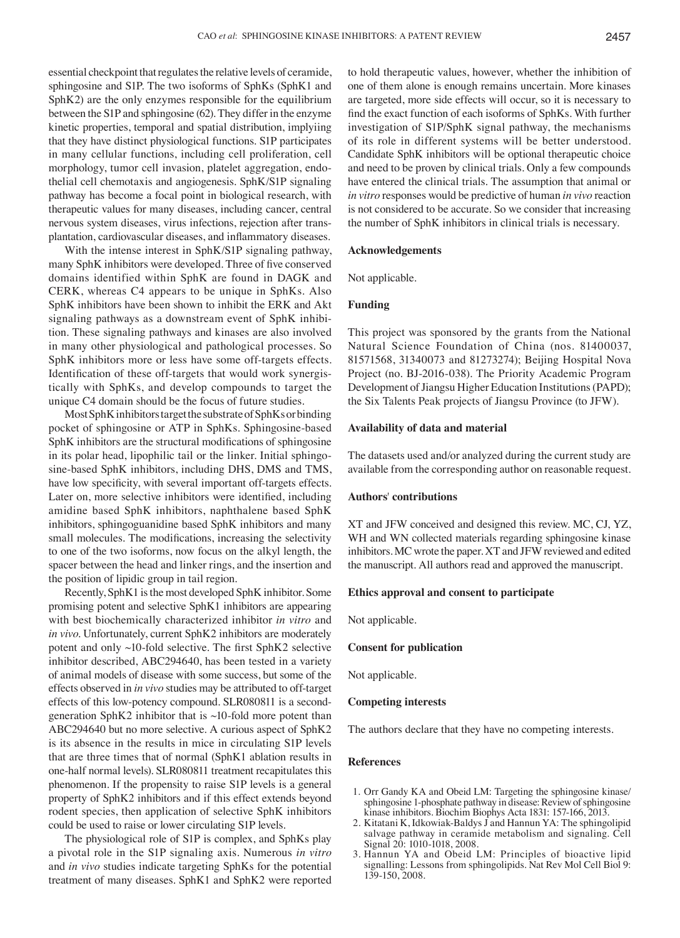essential checkpoint that regulates the relative levels of ceramide, sphingosine and S1P. The two isoforms of SphKs (SphK1 and SphK2) are the only enzymes responsible for the equilibrium between the S1P and sphingosine (62). They differ in the enzyme kinetic properties, temporal and spatial distribution, implyiing that they have distinct physiological functions. S1P participates in many cellular functions, including cell proliferation, cell morphology, tumor cell invasion, platelet aggregation, endothelial cell chemotaxis and angiogenesis. SphK/S1P signaling pathway has become a focal point in biological research, with therapeutic values for many diseases, including cancer, central nervous system diseases, virus infections, rejection after transplantation, cardiovascular diseases, and inflammatory diseases.

With the intense interest in SphK/S1P signaling pathway, many SphK inhibitors were developed. Three of five conserved domains identified within SphK are found in DAGK and CERK, whereas C4 appears to be unique in SphKs. Also SphK inhibitors have been shown to inhibit the ERK and Akt signaling pathways as a downstream event of SphK inhibition. These signaling pathways and kinases are also involved in many other physiological and pathological processes. So SphK inhibitors more or less have some off-targets effects. Identification of these off-targets that would work synergistically with SphKs, and develop compounds to target the unique C4 domain should be the focus of future studies.

Most SphK inhibitors target the substrate of SphKs or binding pocket of sphingosine or ATP in SphKs. Sphingosine-based SphK inhibitors are the structural modifications of sphingosine in its polar head, lipophilic tail or the linker. Initial sphingosine-based SphK inhibitors, including DHS, DMS and TMS, have low specificity, with several important off-targets effects. Later on, more selective inhibitors were identified, including amidine based SphK inhibitors, naphthalene based SphK inhibitors, sphingoguanidine based SphK inhibitors and many small molecules. The modifications, increasing the selectivity to one of the two isoforms, now focus on the alkyl length, the spacer between the head and linker rings, and the insertion and the position of lipidic group in tail region.

Recently, SphK1 is the most developed SphK inhibitor. Some promising potent and selective SphK1 inhibitors are appearing with best biochemically characterized inhibitor *in vitro* and *in vivo*. Unfortunately, current SphK2 inhibitors are moderately potent and only ~10-fold selective. The first SphK2 selective inhibitor described, ABC294640, has been tested in a variety of animal models of disease with some success, but some of the effects observed in *in vivo* studies may be attributed to off-target effects of this low-potency compound. SLR080811 is a secondgeneration SphK2 inhibitor that is  $\sim$ 10-fold more potent than ABC294640 but no more selective. A curious aspect of SphK2 is its absence in the results in mice in circulating S1P levels that are three times that of normal (SphK1 ablation results in one-half normal levels). SLR080811 treatment recapitulates this phenomenon. If the propensity to raise S1P levels is a general property of SphK2 inhibitors and if this effect extends beyond rodent species, then application of selective SphK inhibitors could be used to raise or lower circulating S1P levels.

The physiological role of S1P is complex, and SphKs play a pivotal role in the S1P signaling axis. Numerous *in vitro* and *in vivo* studies indicate targeting SphKs for the potential treatment of many diseases. SphK1 and SphK2 were reported to hold therapeutic values, however, whether the inhibition of one of them alone is enough remains uncertain. More kinases are targeted, more side effects will occur, so it is necessary to find the exact function of each isoforms of SphKs. With further investigation of S1P/SphK signal pathway, the mechanisms of its role in different systems will be better understood. Candidate SphK inhibitors will be optional therapeutic choice and need to be proven by clinical trials. Only a few compounds have entered the clinical trials. The assumption that animal or *in vitro* responses would be predictive of human *in vivo* reaction is not considered to be accurate. So we consider that increasing the number of SphK inhibitors in clinical trials is necessary.

#### **Acknowledgements**

Not applicable.

## **Funding**

This project was sponsored by the grants from the National Natural Science Foundation of China (nos. 81400037, 81571568, 31340073 and 81273274); Beijing Hospital Nova Project (no. BJ-2016-038). The Priority Academic Program Development of Jiangsu Higher Education Institutions (PAPD); the Six Talents Peak projects of Jiangsu Province (to JFW).

## **Availability of data and material**

The datasets used and/or analyzed during the current study are available from the corresponding author on reasonable request.

## **Authors**' **contributions**

XT and JFW conceived and designed this review. MC, CJ, YZ, WH and WN collected materials regarding sphingosine kinase inhibitors. MC wrote the paper. XT and JFW reviewed and edited the manuscript. All authors read and approved the manuscript.

#### **Ethics approval and consent to participate**

Not applicable.

## **Consent for publication**

Not applicable.

## **Competing interests**

The authors declare that they have no competing interests.

#### **References**

- 1. Orr Gandy KA and Obeid LM: Targeting the sphingosine kinase/ sphingosine 1-phosphate pathway in disease: Review of sphingosine kinase inhibitors. Biochim Biophys Acta 1831: 157-166, 2013.
- 2. Kitatani K, Idkowiak-Baldys J and Hannun YA: The sphingolipid salvage pathway in ceramide metabolism and signaling. Cell Signal 20: 1010-1018, 2008.
- 3. Hannun YA and Obeid LM: Principles of bioactive lipid signalling: Lessons from sphingolipids. Nat Rev Mol Cell Biol 9: 139-150, 2008.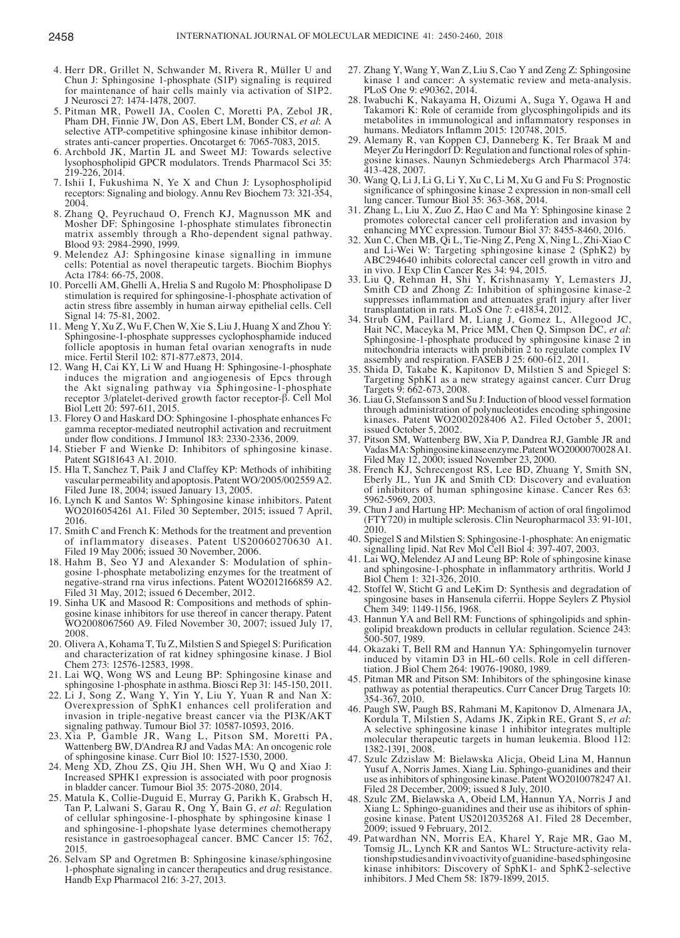- 4. Herr DR, Grillet N, Schwander M, Rivera R, Müller U and Chun J: Sphingosine 1-phosphate (S1P) signaling is required for maintenance of hair cells mainly via activation of S1P2. J Neurosci 27: 1474-1478, 2007.
- 5. Pitman MR, Powell JA, Coolen C, Moretti PA, Zebol JR, Pham DH, Finnie JW, Don AS, Ebert LM, Bonder CS, *et al*: A selective ATP-competitive sphingosine kinase inhibitor demon-<br>strates anti-cancer properties. Oncotarget 6: 7065-7083, 2015.
- 6. Archbold JK, Martin JL and Sweet MJ: Towards selective lysophospholipid GPCR modulators. Trends Pharmacol Sci 35: 219-226, 2014.
- 7. Ishii I, Fukushima N, Ye X and Chun J: Lysophospholipid receptors: Signaling and biology. Annu Rev Biochem 73: 321-354, 2004.
- 8. Zhang Q, Peyruchaud O, French KJ, Magnusson MK and Mosher DF: Sphingosine 1-phosphate stimulates fibronectin matrix assembly through a Rho-dependent signal pathway. Blood 93: 2984-2990, 1999.
- 9. Melendez AJ: Sphingosine kinase signalling in immune cells: Potential as novel therapeutic targets. Biochim Biophys Acta 1784: 66-75, 2008.
- 10. Porcelli AM, Ghelli A, Hrelia S and Rugolo M: Phospholipase D stimulation is required for sphingosine-1-phosphate activation of actin stress fibre assembly in human airway epithelial cells. Cell Signal 14: 75-81, 2002.
- 11. Meng Y, Xu Z, Wu F, Chen W, Xie S, Liu J, Huang X and Zhou Y: Sphingosine-1-phosphate suppresses cyclophosphamide induced follicle apoptosis in human fetal ovarian xenografts in nude mice. Fertil Steril 102: 871-877.e873, 2014.
- 12. Wang H, Cai KY, Li W and Huang H: Sphingosine-1-phosphate induces the migration and angiogenesis of Epcs through the Akt signaling pathway via Sphingosine-1-phosphate receptor 3/platelet-derived growth factor receptor-β. Cell Mol Biol Lett 20: 597-611, 2015.
- 13. Florey O and Haskard DO: Sphingosine 1-phosphate enhances Fc gamma receptor-mediated neutrophil activation and recruitment under flow conditions. J Immunol 183: 2330-2336, 2009.
- 14. Stieber F and Wienke D: Inhibitors of sphingosine kinase. Patent SG181643 A1. 2010.
- 15. Hla T, Sanchez T, Paik J and Claffey KP: Methods of inhibiting vascular permeability and apoptosis. Patent WO/2005/002559A2. Filed June 18, 2004; issued January 13, 2005.
- 16. Lynch K and Santos W: Sphingosine kinase inhibitors. Patent WO2016054261 A1. Filed 30 September, 2015; issued 7 April, 2016.
- 17. Smith C and French K: Methods for the treatment and prevention of inflammatory diseases. Patent US20060270630 A1.
- Filed 19 May 2006; issued 30 November, 2006.<br>18. Hahm B, Seo YJ and Alexander S: Modulation of sphin-18. Hahm B, Seosialexander S: Modulation of sphin- gosine 1-phosphate metabolizing enzymes for the treatment of negative-strand rna virus infections. Patent WO2012166859 A2.
- Filed 31 May, 2012; issued 6 December, 2012.<br>19. Sinha UK and Masood R: Compositions and methods of sphingosine kinase inhibitors for use thereof in cancer therapy. Patent WO2008067560 A9. Filed November 30, 2007; issued July 17, 2008.
- 20. Olivera A, Kohama T, Tu Z, Milstien S and Spiegel S: Purification and characterization of rat kidney sphingosine kinase. J Biol Chem 273: 12576-12583, 1998.
- 21. Lai WQ, Wong WS and Leung BP: Sphingosine kinase and sphingosine 1-phosphate in asthma. Biosci Rep 31: 145-150, 2011.
- 22. Li J, Song Z, Wang Y, Yin Y, Liu Y, Yuan R and Nan X: Overexpression of SphK1 enhances cell proliferation and invasion in triple-negative breast cancer via the PI3K/AKT signaling pathway. Tumour Biol 37: 10587-10593, 2016.
- 23. Xia P, Gamble JR, Wang L, Pitson SM, Moretti PA, Wattenberg BW, D'Andrea RJ and Vadas MA: An oncogenic role of sphingosine kinase. Curr Biol 10: 1527-1530, 2000.
- 24. Meng XD, Zhou ZS, Qiu JH, Shen WH, Wu Q and Xiao J: Increased SPHK1 expression is associated with poor prognosis in bladder cancer. Tumour Biol 35: 2075-2080, 2014.
- 25. Matula K, Collie-Duguid E, Murray G, Parikh K, Grabsch H, Tan P, Lalwani S, Garau R, Ong Y, Bain G, *et al*: Regulation of cellular sphingosine-1-phosphate by sphingosine kinase 1 and sphingosine-1-phopshate lyase determines chemotherapy resistance in gastroesophageal cancer. BMC Cancer 15: 762, 2015.
- 26. Selvam SP and Ogretmen B: Sphingosine kinase/sphingosine 1-phosphate signaling in cancer therapeutics and drug resistance. Handb Exp Pharmacol 216: 3-27, 2013.
- 27. Zhang Y, Wang Y, Wan Z, Liu S, Cao Y and Zeng Z: Sphingosine kinase 1 and cancer: A systematic review and meta-analysis. PLoS One 9: e90362, 2014.
- 28. Iwabuchi K, Nakayama H, Oizumi A, Suga Y, Ogawa H and Takamori K: Role of ceramide from glycosphingolipids and its metabolites in immunological and inflammatory responses in humans. Mediators Inflamm 2015: 120748, 2015.
- 29. Alemany R, van Koppen CJ, Danneberg K, Ter Braak M and gosine kinases. Naunyn Schmiedebergs Arch Pharmacol 374: 413-428, 2007.
- 30. Wang Q, Li J, Li G, Li Y, Xu C, Li M, Xu G and Fu S: Prognostic significance of sphingosine kinase 2 expression in non-small cell lung cancer. Tumour Biol 35: 363-368, 2014.
- 31. Zhang L, Liu X, Zuo Z, Hao C and Ma Y: Sphingosine kinase 2 promotes colorectal cancer cell proliferation and invasion by enhancing MYC expression. Tumour Biol 37: 8455-8460, 2016.
- 32. Xun C, Chen MB, Qi L, Tie-Ning Z, Peng X, Ning L, Zhi-Xiao C and Li-Wei W: Targeting sphingosine kinase 2 (SphK2) by ABC294640 inhibits colorectal cancer cell growth in vitro and in vivo. J Exp Clin Cancer Res 34: 94, 2015.
- 33. Liu Q, Rehman H, Shi Y, Krishnasamy Y, Lemasters JJ, Smith CD and Zhong Z: Inhibition of sphingosine kinase-2 suppresses inflammation and attenuates graft injury after liver transplantation in rats. PLoS One 7: e41834, 2012.
- 34. Strub GM, Paillard M, Liang J, Gomez L, Allegood JC, Hait NC, Maceyka M, Price MM, Chen Q, Simpson DC, et al: Sphingosine-1-phosphate produced by sphingosine kinase 2 in mitochondria interacts with prohibitin 2 to regulate complex IV assembly and respiration. FASEB J 25: 600-612, 2011.
- 35. Shida D, Takabe K, Kapitonov D, Milstien S and Spiegel S: Targeting SphK1 as a new strategy against cancer. Curr Drug Targets 9: 662-673, 2008.
- 36. Liau G, Stefansson S and Su J: Induction of blood vessel formation through administration of polynucleotides encoding sphingosine kinases. Patent WO2002028406 A2. Filed October 5, 2001; issued October 5, 2002.
- 37. Pitson SM, Wattenberg BW, Xia P, Dandrea RJ, Gamble JR and VadasMA: Sphingosine kinase enzyme. Patent WO2000070028A1. Filed May 12, 2000; issued November 23, 2000.
- 38. French KJ, Schrecengost RS, Lee BD, Zhuang Y, Smith SN, Eberly JL, Yun JK and Smith CD: Discovery and evaluation of inhibitors of human sphingosine kinase. Cancer Res 63: 5962-5969, 2003.
- 39. Chun J and Hartung HP: Mechanism of action of oral fingolimod (FTY720) in multiple sclerosis. Clin Neuropharmacol 33: 91-101, 2010.
- 40. Spiegel S and Milstien S: Sphingosine-1-phosphate: An enigmatic signalling lipid. Nat Rev Mol Cell Biol 4: 397-407, 2003.
- 41. Lai WQ, Melendez AJ and Leung BP: Role of sphingosine kinase and sphingosine-1-phosphate in inflammatory arthritis. World J Biol Chem 1: 321-326, 2010.
- 42. Stoffel W, Sticht G and LeKim D: Synthesis and degradation of spingosine bases in Hansenula ciferrii. Hoppe Seylers Z Physiol Chem 349: 1149-1156, 1968.
- 43. Hannun YA and Bell RM: Functions of sphingolipids and sphin- golipid breakdown products in cellular regulation. Science 243: 500-507, 1989.
- 44. Okazaki T, Bell RM and Hannun YA: Sphingomyelin turnover induced by vitamin D3 in HL-60 cells. Role in cell differen- tiation. J Biol Chem 264: 19076-19080, 1989.
- 45. Pitman MR and Pitson SM: Inhibitors of the sphingosine kinase pathway as potential therapeutics. Curr Cancer Drug Targets 10: 354-367, 2010.
- 46. Paugh SW, Paugh BS, Rahmani M, Kapitonov D, Almenara JA, Kordula T, Milstien S, Adams JK, Zipkin RE, Grant S, et al: A selective sphingosine kinase 1 inhibitor integrates multiple molecular therapeutic targets in human leukemia. Blood 112:
- 1382-1391, 2008. Yusuf A, Norris James. Xiang Liu. Sphingo-guanidines and their use as inhibitors of sphingosine kinase. Patent WO2010078247 A1. Filed 28 December, 2009; issued 8 July, 2010.
- 48. Szulc ZM, Bielawska A, Obeid LM, Hannun YA, Norris J and Xiang L: Sphingo-guanidines and their use as ihibitors of sphin- gosine kinase. Patent US2012035268 A1. Filed 28 December, 2009; issued 9 February, 2012.
- 49. Patwardhan NN, Morris EA, Kharel Y, Raje MR, Gao M, Tomsig JL, Lynch KR and Santos WL: Structure-activity rela- tionship studies and in vivo activity of guanidine-based sphingosine kinase inhibitors: Discovery of SphK1- and SphK2-selective inhibitors. J Med Chem 58: 1879-1899, 2015.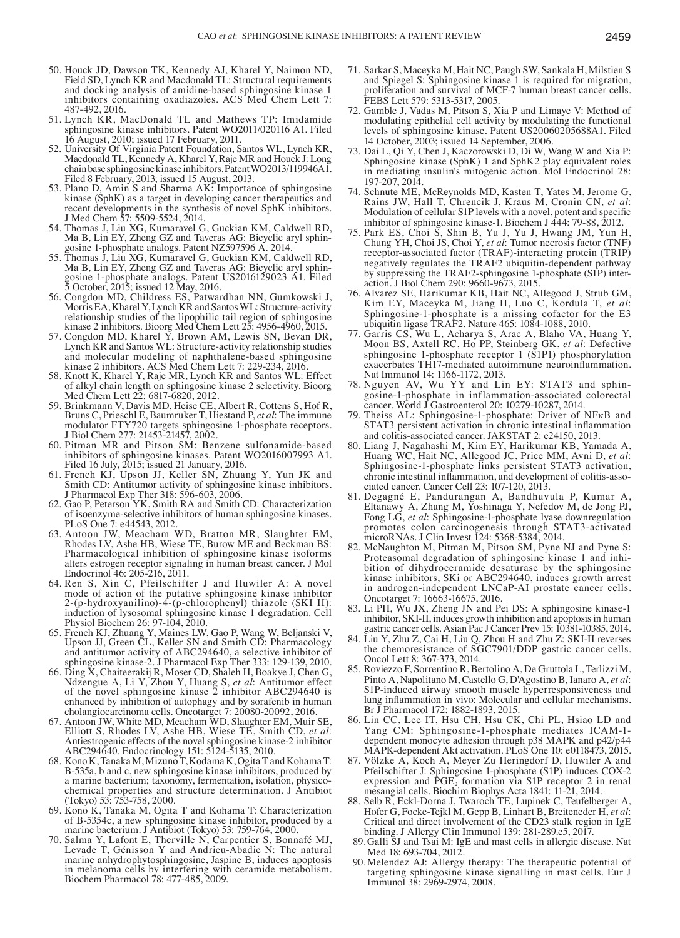- 50. Houck JD, Dawson TK, Kennedy AJ, Kharel Y, Naimon ND, Field SD, Lynch KR and Macdonald TL: Structural requirements and docking analysis of amidine-based sphingosine kinase 1 inhibitors containing oxadiazoles. ACS Med Chem Lett 7: 487-492, 2016.
- 51. Lynch KR, MacDonald TL and Mathews TP: Imidamide sphingosine kinase inhibitors. Patent WO2011/020116 A1. Filed 16 August, 2010; issued 17 February, 2011.
- 52. University Of Virginia Patent Foundation, Santos WL, Lynch KR, Macdonald TL, Kennedy A, Kharel Y, Raje MR and Houck J: Long chain base sphingosine kinase inhibitors. Patent WO2013/119946A1. Filed 8 February, 2013; issued 15 August, 2013.
- 53. Plano D, Amin S and Sharma AK: Importance of sphingosine kinase (SphK) as a target in developing cancer therapeutics and recent developments in the synthesis of novel SphK inhibitors. J Med Chem 57: 5509-5524, 2014.
- 54. Thomas J, Liu XG, Kumaravel G, Guckian KM, Caldwell RD, Ma B, Lin EY, Zheng GZ and Taveras AG: Bicyclic aryl sphingosine 1-phosphate analogs. Patent NZ597596 A. 2014.
- 55. Thomas J, Liu XG, Kumaravel G, Guckian KM, Caldwell RD, Ma B, Lin EY, Zheng GZ and Taveras AG: Bicyclic aryl sphingosine 1-phosphate analogs. Patent US2016129023 A1. Filed 5 October, 2015; issued 12 May, 2016.
- 56. Congdon MD, Childress ES, Patwardhan NN, Gumkowski J, Morris EA, Kharel Y, Lynch KR and Santos WL: Structure-activity relationship studies of the lipophilic tail region of sphingosine kinase 2 inhibitors. Bioorg Med Chem Lett 25: 4956-4960, 2015.
- 57. Congdon MD, Kharel Y, Brown AM, Lewis SN, Bevan DR, Lynch KR and Santos WL: Structure-activity relationship studies and molecular modeling of naphthalene-based sphingosine kinase 2 inhibitors. ACS Med Chem Lett 7: 229-234, 2016.
- 58. Knott K, Kharel Y, Raje MR, Lynch KR and Santos WL: Effect of alkyl chain length on sphingosine kinase 2 selectivity. Bioorg Med Chem Lett 22: 6817-6820, 2012.
- 59. Brinkmann V, Davis MD, Heise CE, Albert R, Cottens S, Hof R, Bruns C, Prieschl E, Baumruker T, Hiestand P, *et al*: The immune modulator FTY720 targets sphingosine 1-phosphate receptors. J Biol Chem 277: 21453-21457, 2002.
- 60. Pitman MR and Pitson SM: Benzene sulfonamide-based inhibitors of sphingosine kinases. Patent WO2016007993 A1. Filed 16 July, 2015; issued 21 January, 2016.
- 61. French KJ, Upson JJ, Keller SN, Zhuang Y, Yun JK and Smith CD: Antitumor activity of sphingosine kinase inhibitors. J Pharmacol Exp Ther 318: 596-603, 2006.
- 62. Gao P, Peterson YK, Smith RA and Smith CD: Characterization of isoenzyme-selective inhibitors of human sphingosine kinases. PLoS One 7: e44543, 2012.
- 63. Antoon JW, Meacham WD, Bratton MR, Slaughter EM, Rhodes LV, Ashe HB, Wiese TE, Burow ME and Beckman BS: Pharmacological inhibition of sphingosine kinase isoforms alters estrogen receptor signaling in human breast cancer. J Mol Endocrinol 46: 205-216, 2011.
- 64. Ren S, Xin C, Pfeilschifter J and Huwiler A: A novel mode of action of the putative sphingosine kinase inhibitor 2-(p-hydroxyanilino)-4-(p-chlorophenyl) thiazole (SKI II): induction of lysosomal sphingosine kinase 1 degradation. Cell Physiol Biochem 26: 97-104, 2010.
- 65. French KJ, Zhuang Y, Maines LW, Gao P, Wang W, Beljanski V, Upson JJ, Green CL, Keller SN and Smith CD: Pharmacology and antitumor activity of ABC294640, a selective inhibitor of sphingosine kinase-2. J Pharmacol Exp Ther 333: 129-139, 2010.<br>66. Ding X, Chaiteerakij R, Moser CD, Shaleh H, Boakye J, Chen G,
- 66. Ding X, Chaiteerakij R, Moser CD, Shaleh H, Boakye J, Chen G, Ndzengue A, Li Y, Zhou Y, Huang S, *et al*: Antitumor effect of the novel sphingosine kinase 2 inhibitor ABC294640 is enhanced by inhibition of autophagy and by sorafenib in human cholangiocarcinoma cells. Oncotarget 7: 20080-20092, 2016.
- 67. Antoon JW, White MD, Meacham WD, Slaughter EM, Muir SE, Elliott S, Rhodes LV, Ashe HB, Wiese TE, Smith CD, et al: Elliott S, Rhodes LV, Ashe HB, Wiese TE, Smith CD, *et al*: Antiestrogenic effects of the novel sphingosine kinase-2 inhibitor ABC294640. Endocrinology 151: 5124-5135, 2010.
- 68. Kono K, Tanaka M, Mizuno T, Kodama K, Ogita T and Kohama T: B-535a, b and c, new sphingosine kinase inhibitors, produced by a marine bacterium; taxonomy, fermentation, isolation, physicochemical properties and structure determination. J Antibiot (Tokyo) 53: 753-758, 2000.
- 69. Kono K, Tanaka M, Ogita T and Kohama T: Characterization of B-5354c, a new sphingosine kinase inhibitor, produced by a marine bacterium. J Antibiot (Tokyo) 53: 759-764, 2000.
- 70. Salma Y, Lafont E, Therville N, Carpentier S, Bonnafé MJ, Levade T, Génisson Y and Andrieu-Abadie N: The natural marine anhydrophytosphingosine, Jaspine B, induces apoptosis in melanoma cells by interfering with ceramide metabolism. Biochem Pharmacol 78: 477-485, 2009.
- 71. Sarkar S, Maceyka M, Hait NC, Paugh SW, Sankala H, Milstien S and Spiegel S: Sphingosine kinase 1 is required for migration, proliferation and survival of MCF-7 human breast cancer cells. FEBS Lett 579: 5313-5317, 2005.
- 72. Gamble J, Vadas M, Pitson S, Xia P and Limaye V: Method of modulating epithelial cell activity by modulating the functional levels of sphingosine kinase. Patent US20060205688A1. Filed 14 October, 2003; issued 14 September, 2006.
- 73. Dai L, Qi Y, Chen J, Kaczorowski D, Di W, Wang W and Xia P: Sphingosine kinase (SphK) 1 and SphK2 play equivalent roles in mediating insulin's mitogenic action. Mol Endocrinol 28: 197-207, 2014.<br>74. Schnute ME, McReynolds MD, Kasten T, Yates M, Jerome G,
- Rains JW, Hall T, Chrencik J, Kraus M, Cronin CN, *et al:* Modulation of cellular S1P levels with a novel, potent and specific inhibitor of sphingosine kinase-1. Biochem J 444: 79-88, 2012.
- 75. Park ES, Choi S, Shin B, Yu J, Yu J, Hwang JM, Yun H, Chung YH, Choi JS, Choi Y, *et al*: Tumor necrosis factor (TNF) receptor-associated factor (TRAF)-interacting protein (TRIP) negatively regulates the TRAF2 ubiquitin-dependent pathway by suppressing the TRAF2-sphingosine 1-phosphate (S1P) inter- action. J Biol Chem 290: 9660-9673, 2015.
- 76. Alvarez SE, Harikumar KB, Hait NC, Allegood J, Strub GM, Kim EY, Maceyka M, Jiang H, Luo C, Kordula T, *et al*: Sphingosine-1-phosphate is a missing cofactor for the E3 ubiquitin ligase TRAF2. Nature 465: 1084-1088, 2010.
- 77. Garris CS, Wu L, Acharya S, Arac A, Blaho VA, Huang Y, Moon BS, Axtell RC, Ho PP, Steinberg GK, *et al*: Defective sphingosine 1-phosphate receptor 1 (S1P1) phosphorylation exacerbates TH17-mediated autoimmune neuroinflammation. Nat Immunol 14: 1166-1172, 2013.<br>78. Nguyen AV, Wu YY and Lin EY: STAT3 and sphin-
- gosine-1-phosphate in inflammation-associated colorectal cancer. World J Gastroenterol 20: 10279-10287, 2014.
- 79. Theiss AL: Sphingosine-1-phosphate: Driver of NFκB and STAT3 persistent activation in chronic intestinal inflammation and colitis-associated cancer. JAKSTAT 2: e24150, 2013.
- 80. Liang J, Nagahashi M, Kim EY, Harikumar KB, Yamada A, Huang WC, Hait NC, Allegood JC, Price MM, Avni D, et al: Sphingosine-1-phosphate links persistent STAT3 activation, chronic intestinal inflammation, and development of colitis‑asso- ciated cancer. Cancer Cell 23: 107-120, 2013.
- 81. Degagné E, Pandurangan A, Bandhuvula P, Kumar A, Eltanawy A, Zhang M, Yoshinaga Y, Nefedov M, de Jong PJ, Fong LG, *et al*: Sphingosine-1-phosphate lyase downregulation promotes colon carcinogenesis through STAT3-activated microRNAs. J Clin Invest 124: 5368-5384, 2014.
- 82. McNaughton M, Pitman M, Pitson SM, Pyne NJ and Pyne S: Proteasomal degradation of sphingosine kinase 1 and inhi- bition of dihydroceramide desaturase by the sphingosine kinase inhibitors, SKi or ABC294640, induces growth arrest in androgen-independent LNCaP-AI prostate cancer cells. Oncotarget 7: 16663-16675, 2016.
- 83. Li PH, Wu JX, Zheng JN and Pei DS: A sphingosine kinase-1 inhibitor, SKI-II, induces growth inhibition and apoptosis in human gastric cancer cells. Asian Pac J Cancer Prev 15: 10381-10385, 2014.
- 84. Liu Y, Zhu Z, Cai H, Liu Q, Zhou H and Zhu Z: SKI-II reverses the chemoresistance of SGC7901/DDP gastric cancer cells. Oncol Lett 8: 367-373, 2014.
- 85. Roviezzo F, Sorrentino R, Bertolino A, De Gruttola L, Terlizzi M, Pinto A, Napolitano M, Castello G, D'Agostino B, Ianaro A, et al: S1P-induced airway smooth muscle hyperresponsiveness and lung inflammation in vivo: Molecular and cellular mechanisms. Br J Pharmacol 172: 1882-1893, 2015.
- 86. Lin CC, Lee IT, Hsu CH, Hsu CK, Chi PL, Hsiao LD and Yang CM: Sphingosine-1-phosphate mediates ICAM-1 dependent monocyte adhesion through p38 MAPK and p42/p44 MAPK-dependent Akt activation. PLoS One 10: e0118473, 2015.
- 87. Völzke A, Koch A, Meyer Zu Heringdorf D, Huwiler A and Pfeilschifter J: Sphingosine 1-phosphate (S1P) induces COX-2 expression and  $PGE_2$  formation via S1P receptor 2 in renal mesangial cells. Biochim Biophys Acta 1841: 11-21, 2014.
- 88. Selb R, Eckl-Dorna J, Twaroch TE, Lupinek C, Teufelberger A, Hofer G, Focke-Tejkl M, Gepp B, Linhart B, Breiteneder H, et al: Critical and direct involvement of the CD23 stalk region in IgE binding. J Allergy Clin Immunol 139: 281-289.e5, 2017.
- 89.Galli SJ and Tsai M: IgE and mast cells in allergic disease. Nat Med 18: 693-704, 2012.
- 90.Melendez AJ: Allergy therapy: The therapeutic potential of targeting sphingosine kinase signalling in mast cells. Eur J Immunol 38: 2969-2974, 2008.